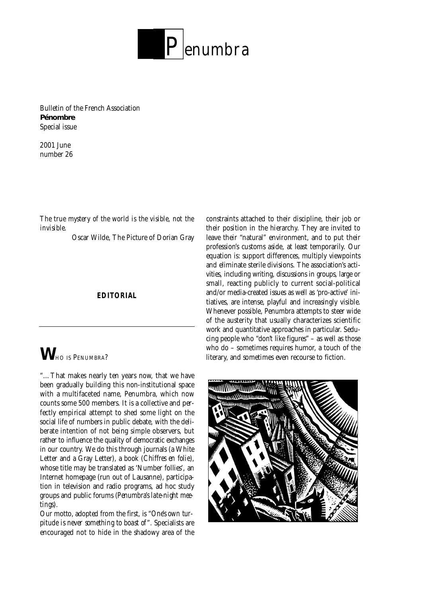

**Bulletin of the French Association Pénombre Special issue**

**2001 June number 26**

#### *The true mystery of the world is the visible, not the invisible.*

Oscar Wilde, The Picture of Dorian Gray

#### **EDITORIAL**

# *W*<sub>HO IS</sub> PENUMBRA?

"…That makes nearly ten years now, that we have been gradually building this non-institutional space with a multifaceted name, Penumbra, which now counts some 500 members. It is a collective and perfectly empirical attempt to shed some light on the social life of numbers in public debate, with the deliberate intention of not being simple observers, but rather to influence the quality of democratic exchanges in our country. We do this through journals (a White Letter and a Gray Letter), a book (*Chiffres en folie*), whose title may be translated as 'Number follies', an Internet homepage (run out of Lausanne), participation in television and radio programs, ad hoc study groups and public forums (*Penumbra's late-night mee* $t$ *ings*).

Our motto, adopted from the first, is "One's own tur*pitude is never something to boast of* ". Specialists are encouraged not to hide in the shadowy area of the

constraints attached to their discipline, their job or their position in the hierarchy. They are invited to leave their "natural" environment, and to put their profession's customs aside, at least temporarily. Our equation is: support differences, multiply viewpoints and eliminate sterile divisions. The association's activities, including writing, discussions in groups, large or small, reacting publicly to current social-political and/or media-created issues as well as 'pro-active' initiatives, are intense, playful and increasingly visible. Whenever possible, Penumbra attempts to steer wide of the austerity that usually characterizes scientific work and quantitative approaches in particular. Seducing people who "don't like figures" – as well as those who do – sometimes requires humor, a touch of the literary, and sometimes even recourse to fiction.

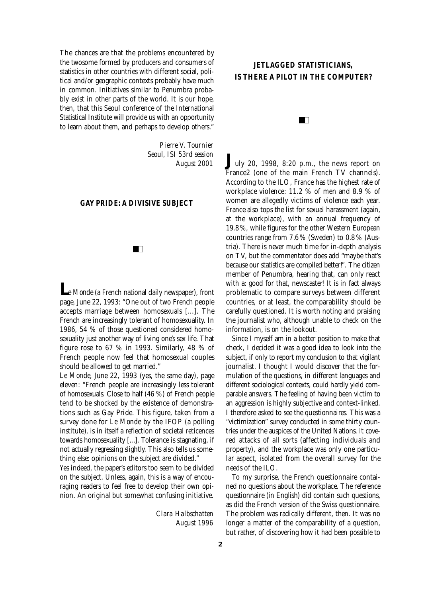The chances are that the problems encountered by the twosome formed by producers and consumers of statistics in other countries with different social, political and/or geographic contexts probably have much in common. Initiatives similar to Penumbra probably exist in other parts of the world. It is our hope, then, that this Seoul conference of the International Statistical Institute will provide us with an opportunity to learn about them, and perhaps to develop others."

> *Pierre V. Tournier Seoul, ISI 53rd session August 2001*

#### **GAY PRIDE: A DIVISIVE SUBJECT**

 $\blacksquare$ 

**Le Monde** (a French national daily newspaper), front page, June 22, 1993: "One out of two French people accepts marriage between homosexuals [...]. The French are increasingly tolerant of homosexuality. In 1986, 54 % of those questioned considered homosexuality just another way of living one's sex life. That figure rose to 67 % in 1993. Similarly, 48 % of French people now feel that homosexual couples should be allowed to get married."

Le Monde, June 22, 1993 (yes, the same day), page eleven: "French people are increasingly less tolerant of homosexuals. Close to half (46 %) of French people tend to be shocked by the existence of demonstrations such as Gay Pride. This figure, taken from a survey done for *Le Monde* by the IFOP (a polling institute), is in itself a reflection of societal reticences towards homosexuality [...]. Tolerance is stagnating, if not actually regressing slightly. This also tells us something else: opinions on the subject are divided."

Yes indeed, the paper's editors too seem to be divided on the subject. Unless, again, this is a way of encouraging readers to feel free to develop their own opinion. An original but somewhat confusing initiative.

> *<i>Clara Halbschatten August 1996*

# **JETLAGGED STATISTICIANS, IS THERE A PILOT IN THE COMPUTER?**

#### $\blacksquare$

 $J_{\text{uly 20, 1998, 8:20 p.m., the news report on}$ France2 (one of the main French TV channels). According to the ILO, France has the highest rate of workplace violence:  $11.2 %$  of men and  $8.9 %$  of women are allegedly victims of violence each year. France also tops the list for sexual harassment (again, at the workplace), with an annual frequency of 19.8%, while figures for the other Western European countries range from  $7.6\%$  (Sweden) to  $0.8\%$  (Austria). There is never much time for in-depth analysis on TV, but the commentator does add "maybe that's because our statistics are compiled better!". The citizen member of Penumbra, hearing that, can only react with a: good for that, newscaster! It is in fact always problematic to compare surveys between different countries, or at least, the comparability should be carefully questioned. It is worth noting and praising the journalist who, although unable to check on the information, is on the lookout.

Since I myself am in a better position to make that check, I decided it was a good idea to look into the subject, if only to report my conclusion to that vigilant journalist. I thought I would discover that the formulation of the questions, in different languages and different sociological contexts, could hardly yield comparable answers. The feeling of having been victim to an aggression is highly subjective and context-linked. I therefore asked to see the questionnaires. This was a "victimization" survey conducted in some thirty countries under the auspices of the United Nations. It covered attacks of all sorts (affecting individuals and property), and the workplace was only one particular aspect, isolated from the overall survey for the needs of the ILO.

To my surprise, the French questionnaire contained no questions about the workplace. The reference questionnaire (in English) did contain such questions, as did the French version of the Swiss questionnaire. The problem was radically different, then. It was no longer a matter of the comparability of a question, but rather, of discovering how it had been possible to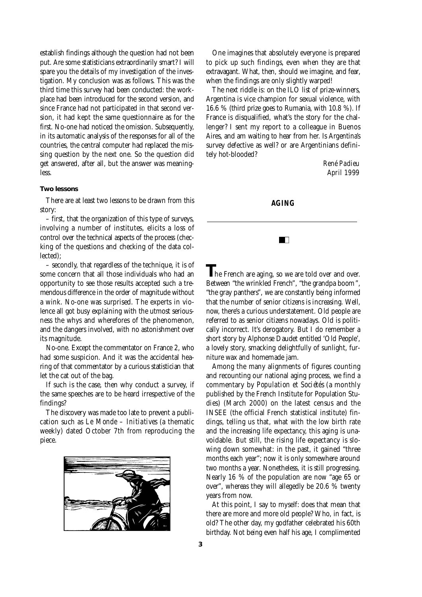establish findings although the question had not been put. Are some statisticians extraordinarily smart? I will spare you the details of my investigation of the investigation. My conclusion was as follows. This was the third time this survey had been conducted: the workplace had been introduced for the second version, and since France had not participated in that second version, it had kept the same questionnaire as for the first. No-one had noticed the omission. Subsequently, in its automatic analysis of the responses for all of the countries, the central computer had replaced the missing question by the next one. So the question did get answered, after all, but the answer was meaningless.

#### *Two lessons*

There are at least two lessons to be drawn from this story:

 $-$  first, that the organization of this type of surveys, involving a number of institutes, elicits a loss of control over the technical aspects of the process (checking of the questions and checking of the data collected);

 $-$  secondly, that regardless of the technique, it is of some concern that all those individuals who had an opportunity to see those results accepted such a tremendous difference in the order of magnitude without a wink. No-one was surprised. The experts in violence all got busy explaining with the utmost seriousness the whys and wherefores of the phenomenon, and the dangers involved, with no astonishment over its magnitude.

No-one. Except the commentator on France 2, who had some suspicion. And it was the accidental hearing of that commentator by a curious statistician that let the cat out of the bag.

If such is the case, then why conduct a survey, if the same speeches are to be heard irrespective of the findings?

The discovery was made too late to prevent a publication such as *Le Monde - Initiatives* (a thematic weekly) dated October 7th from reproducing the piece.



One imagines that absolutely everyone is prepared to pick up such findings, even when they are that extravagant. What, then, should we imagine, and fear, when the findings are only slightly warped!

The next riddle is: on the ILO list of prize-winners, Argentina is vice champion for sexual violence, with 16.6 % (third prize goes to Rumania, with 10.8 %). If France is disqualified, what's the story for the challenger? I sent my report to a colleague in Buenos Aires, and am waiting to hear from her. Is Argentina's survey defective as well? or are Argentinians definitely hot-blooded?

> $R$ *ené Padieu April 1999*

#### **AGING**

 $\blacksquare$ 

The French are aging, so we are told over and over. Between "the wrinkled French", "the grandpa boom", "the gray panthers", we are constantly being informed that the number of senior citizens is increasing. Well, now, there's a curious understatement. Old people are referred to as senior citizens nowadays. Old is politically incorrect. It's derogatory. But I do remember a short story by Alphonse Daudet entitled 'Old People', a lovely story, smacking delightfully of sunlight, furniture wax and homemade jam.

Among the many alignments of figures counting and recounting our national aging process, we find a commentary by *Population et Sociétés* (a monthly published by the French Institute for Population Studies) (March 2000) on the latest census and the INSEE (the official French statistical institute) findings, telling us that, what with the low birth rate and the increasing life expectancy, this aging is unavoidable. But still, the rising life expectancy is slowing down somewhat: in the past, it gained "three" months each year"; now it is only somewhere around two months a year. Nonetheless, it is still progressing. Nearly 16 % of the population are now "age 65 or over", whereas they will allegedly be  $20.6$  % twenty years from now.

At this point, I say to myself: does that mean that there are more and more old people? Who, in fact, is old? The other day, my godfather celebrated his 60th birthday. Not being even half his age, I complimented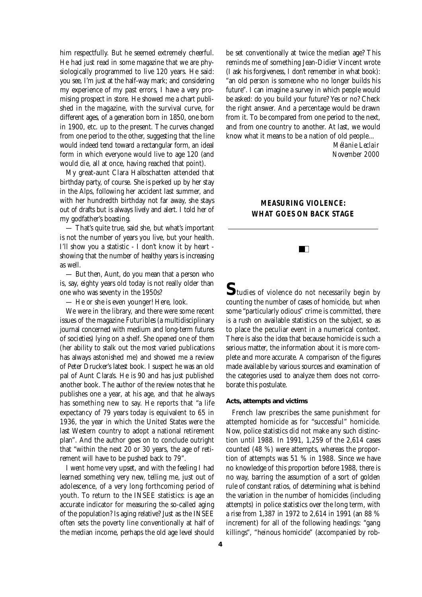him respectfully. But he seemed extremely cheerful. He had just read in some magazine that we are physiologically programmed to live 120 years. He said: you see, I'm just at the half-way mark; and considering my experience of my past errors, I have a very promising prospect in store. He showed me a chart published in the magazine, with the survival curve, for different ages, of a generation born in 1850, one born in 1900, etc. up to the present. The curves changed from one period to the other, suggesting that the line would indeed tend toward a rectangular form, an ideal form in which everyone would live to age 120 (and would die, all at once, having reached that point).

My great-aunt Clara Halbschatten attended that birthday party, of course. She is perked up by her stay in the Alps, following her accident last summer, and with her hundredth birthday not far away, she stays out of drafts but is always lively and alert. I told her of my godfather's boasting.

 $-$  That's quite true, said she, but what's important is not the number of years you live, but your health. I'll show you a statistic - I don't know it by heart showing that the number of healthy years is increasing as well.

— But then, Aunt, do you mean that a person who is, say, eighty years old today is not really older than one who was seventy in the 1950s?

— He or she is even younger! Here, look.

We were in the library, and there were some recent issues of the magazine *Futuribles* (a multidisciplinary journal concerned with medium and long-term futures of societies) lying on a shelf. She opened one of them (her ability to stalk out the most varied publications has always astonished me) and showed me a review of Peter Drucker's latest book. I suspect he was an old pal of Aunt Clara's. He is 90 and has just published another book. The author of the review notes that he publishes one a year, at his age, and that he always has something new to say. He reports that "a life expectancy of 79 years today is equivalent to 65 in 1936, the year in which the United States were the last Western country to adopt a national retirement plan". And the author goes on to conclude outright that "within the next  $20$  or  $30$  years, the age of retirement will have to be pushed back to 79".

I went home very upset, and with the feeling I had learned something very new, telling me, just out of adolescence, of a very long forthcoming period of youth. To return to the INSEE statistics: is age an accurate indicator for measuring the so-called aging of the population? Is aging relative? Just as the INSEE often sets the poverty line conventionally at half of the median income, perhaps the old age level should

be set conventionally at twice the median age? This reminds me of something Jean-Didier Vincent wrote (I ask his forgiveness, I don't remember in what book): "an old person is someone who no longer builds his future". I can imagine a survey in which people would be asked: do you build your future? Yes or no? Check the right answer. And a percentage would be drawn from it. To be compared from one period to the next, and from one country to another. At last, we would know what it means to be a nation of old people...

> *Mélanie Leclair November 2000*

# **MEASURING VIOLENCE: WHAT GOES ON BACK STAGE**

 $\blacksquare$ 

 $S_{\text{tudies of violence do not necessarily begin by}}$ counting the number of cases of homicide, but when some "particularly odious" crime is committed, there is a rush on available statistics on the subject, so as to place the peculiar event in a numerical context. There is also the idea that because homicide is such a serious matter, the information about it is more complete and more accurate. A comparison of the figures made available by various sources and examination of the categories used to analyze them does not corroborate this postulate.

#### *Acts, attempts and victims*

French law prescribes the same punishment for attempted homicide as for "successful" homicide. Now, police statistics did not make any such distinction until 1988. In 1991, 1,259 of the 2,614 cases counted  $(48 \%)$  were attempts, whereas the proportion of attempts was 51 % in 1988. Since we have no knowledge of this proportion before 1988, there is no way, barring the assumption of a sort of golden rule of constant ratios, of determining what is behind the variation in the number of homicides (including attempts) in police statistics over the long term, with a rise from 1,387 in 1972 to 2,614 in 1991 (an 88 % increment) for all of the following headings: "gang killings", "heinous homicide" (accompanied by rob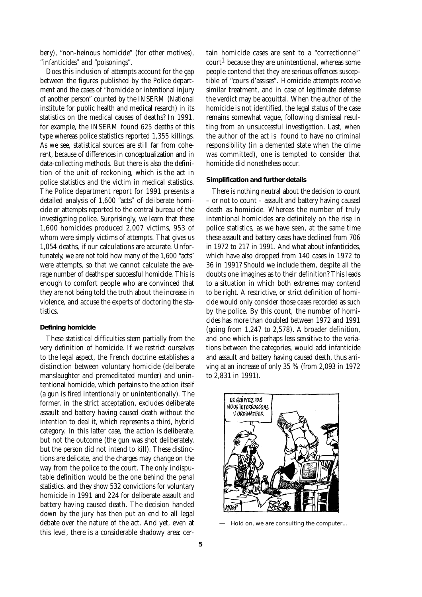bery), "non-heinous homicide" (for other motives), " infanticides" and "poisonings".

Does this inclusion of attempts account for the gap between the figures published by the Police department and the cases of "homicide or intentional injury of another person" counted by the INSERM (National institute for public health and medical resarch) in its statistics on the medical causes of deaths? In 1991, for example, the INSERM found 625 deaths of this type whereas police statistics reported 1,355 killings. As we see, statistical sources are still far from coherent, because of differences in conceptualization and in data-collecting methods. But there is also the definition of the unit of reckoning, which is the act in police statistics and the victim in medical statistics. The Police department report for 1991 presents a detailed analysis of 1,600 "acts" of deliberate homicide or attempts reported to the central bureau of the investigating police. Surprisingly, we learn that these 1,600 homicides produced 2,007 victims, 953 of whom were simply victims of attempts. That gives us 1,054 deaths, if our calculations are accurate. Unfortunately, we are not told how many of the 1,600 "acts" were attempts, so that we cannot calculate the average number of deaths per successful homicide. This is enough to comfort people who are convinced that they are not being told the truth about the increase in violence, and accuse the experts of doctoring the statistics.

#### *Defining homicide*

These statistical difficulties stem partially from the very definition of homicide. If we restrict ourselves to the legal aspect, the French doctrine establishes a distinction between voluntary homicide (deliberate manslaughter and premeditated murder) and unintentional homicide, which pertains to the action itself (a gun is fired intentionally or unintentionally). The former, in the strict acceptation, excludes deliberate assault and battery having caused death without the intention to deal it, which represents a third, hybrid category. In this latter case, the action is deliberate, but not the outcome (the gun was shot deliberately, but the person did not intend to kill). These distinctions are delicate, and the charges may change on the way from the police to the court. The only indisputable definition would be the one behind the penal statistics, and they show 532 convictions for voluntary homicide in 1991 and 224 for deliberate assault and battery having caused death. The decision handed down by the jury has then put an end to all legal debate over the nature of the act. And yet, even at this level, there is a considerable shadowy area: cer-

tain homicide cases are sent to a "correctionnel"  $\text{count} 1$  because they are unintentional, whereas some people contend that they are serious offences susceptible of "cours d'assises". Homicide attempts receive similar treatment, and in case of legitimate defense the verdict may be acquittal. When the author of the homicide is not identified, the legal status of the case remains somewhat vague, following dismissal resulting from an unsuccessful investigation. Last, when the author of the act is found to have no criminal responsibility (in a demented state when the crime was committed), one is tempted to consider that homicide did nonetheless occur.

#### *Simplification and further details*

There is nothing neutral about the decision to count – or not to count – assault and battery having caused death as homicide. Whereas the number of truly intentional homicides are definitely on the rise in police statistics, as we have seen, at the same time these assault and battery cases have declined from 706 in 1972 to 217 in 1991. And what about infanticides, which have also dropped from 140 cases in 1972 to 36 in 1991? Should we include them, despite all the doubts one imagines as to their definition? This leads to a situation in which both extremes may contend to be right. A restrictive, or strict definition of homicide would only consider those cases recorded as such by the police. By this count, the number of homicides has more than doubled between 1972 and 1991 (going from 1,247 to 2,578). A broader definition, and one which is perhaps less sensitive to the variations between the categories, would add infanticide and assault and battery having caused death, thus arriving at an increase of only 35 % (from 2,093 in 1972 to 2,831 in 1991).



— Hold on, we are consulting the computer...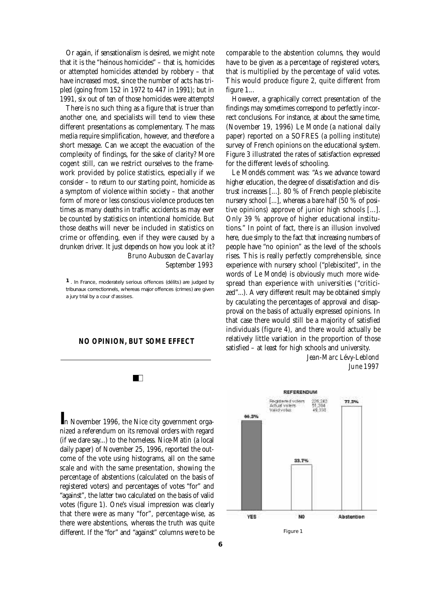Or again, if sensationalism is desired, we might note that it is the "heinous homicides" – that is, homicides or attempted homicides attended by robbery – that have increased most, since the number of acts has tripled (going from 152 in 1972 to 447 in 1991); but in 1991, six out of ten of those homicides were attempts!

There is no such thing as a figure that is truer than another one, and specialists will tend to view these different presentations as complementary. The mass media require simplification, however, and therefore a short message. Can we accept the evacuation of the complexity of findings, for the sake of clarity? More cogent still, can we restrict ourselves to the framework provided by police statistics, especially if we consider – to return to our starting point, homicide as a symptom of violence within society – that another form of more or less conscious violence produces ten times as many deaths in traffic accidents as may ever be counted by statistics on intentional homicide. But those deaths will never be included in statistics on crime or offending, even if they were caused by a drunken driver. It just depends on how you look at it? *Bruno Aubusson de Cavarlay* 

*September 1993*

*1 . In France, moderately serious offences (délits) are judged by tribunaux correctionnels, whereas major offences (crimes) are given a jury trial by a cour d'assises.*

#### **NO OPINION, BUT SOME EFFECT**

#### $\blacksquare$

*I*n November 1996, the Nice city government organized a referendum on its removal orders with regard (if we dare say...) to the homeless. *Nice-Matin* (a local daily paper) of November 25, 1996, reported the outcome of the vote using histograms, all on the same scale and with the same presentation, showing the percentage of abstentions (calculated on the basis of registered voters) and percentages of votes "for" and "against", the latter two calculated on the basis of valid votes (figure 1). One's visual impression was clearly that there were as many "for", percentage-wise, as there were abstentions, whereas the truth was quite different. If the "for" and "against" columns were to be

comparable to the abstention columns, they would have to be given as a percentage of registered voters, that is multiplied by the percentage of valid votes. This would produce figure 2, quite different from figure  $1...$ 

Howe ve r, a graphically correct presentation of the findings may sometimes correspond to perfectly incorrect conclusions. For instance, at about the same time, (November 19, 1996) *Le Monde* (a national daily paper) reported on a SOFRES (a polling institute) survey of French opinions on the educational system. Figure 3 illustrated the rates of satisfaction expressed for the different levels of schooling.

Le Monde's comment was: "As we advance toward higher education, the degree of dissatisfaction and distrust increases [...]. 80 % of French people plebiscite nursery school [...], whereas a bare half (50  $\%$  of positive opinions) approve of junior high schools  $[\dots]$ . Only 39 % approve of higher educational institutions." In point of fact, there is an illusion involved here, due simply to the fact that increasing numbers of people have "no opinion" as the level of the schools rises. This is really perfectly comprehensible, since experience with nursery school ("plebiscited", in the words of *Le Monde*) is obviously much more widespread than experience with universities ("criticized"...). A very different result may be obtained simply by caculating the percentages of approval and disapproval on the basis of actually expressed opinions. In that case there would still be a majority of satisfied individuals (figure 4), and there would actually be relatively little variation in the proportion of those satisfied – at least for high schools and university.

#### *Jean-Marc Lévy-Leblond June 1997*

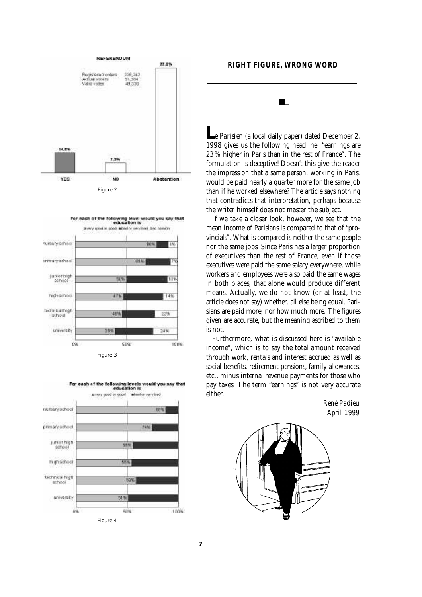









 $\blacksquare$ 

*Le Parisien* (a local daily paper) dated December 2, 1998 gives us the following headline: "earnings are 23% higher in Paris than in the rest of France". The formulation is deceptive! Doesn't this give the reader the impression that a same person, working in Paris, would be paid nearly a quarter more for the same job than if he worked elsewhere? The article says nothing that contradicts that interpretation, perhaps because the writer himself does not master the subject.

If we take a closer look, however, we see that the mean income of Parisians is compared to that of "provincials". What is compared is neither the same people nor the same jobs. Since Paris has a larger proportion of executives than the rest of France, even if those executives were paid the same salary everywhere, while workers and employees were also paid the same wages in both places, that alone would produce different means. Actually, we do not know (or at least, the article does not say) whether, all else being equal, Parisians are paid more, nor how much more. The figures given are accurate, but the meaning ascribed to them is not.

Furthermore, what is discussed here is "available income", which is to say the total amount received through work, rentals and interest accrued as well as social benefits, retirement pensions, family allowances, etc., minus internal revenue payments for those who pay taxes. The term "earnings" is not very accurate either.

> *René Padieu April 1999*

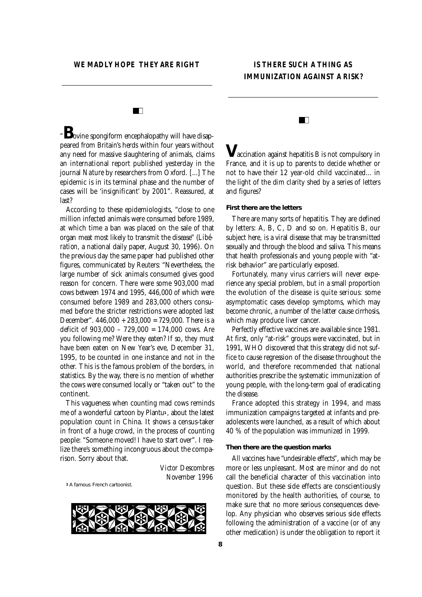# **IS THERE SUCH A THING AS IMMUNIZATION AGAINST A RISK?**

# HD.

"*B*ovine spongiform encephalopathy will have disappeared from Britain's herds within four years without any need for massive slaughtering of animals, claims an international report published yesterday in the journal *Nature* by researchers from Oxford. [...] The epidemic is in its terminal phase and the number of cases will be 'insignificant' by 2001". Reassured, at last?

According to these epidemiologists, "close to one million infected animals were consumed before 1989. at which time a ban was placed on the sale of that organ meat most likely to transmit the disease" (*Libération*, a national daily paper, August 30, 1996). On the previous day the same paper had published other figures, communicated by Reuters: "Nevertheless, the large number of sick animals consumed gives good reason for concern. There were some 903,000 mad  $c$  cows between 1974 and 1995, 446,000 of which were consumed before 1989 and 283,000 others consumed before the stricter restrictions were adopted last December".  $446,000 + 283,000 = 729,000$ . There is a deficit of  $903,000 - 729,000 = 174,000$  cows. Are you following me? Were they eaten? If so, they must have been eaten on New Year's eve. December 31, 1995, to be counted in one instance and not in the other. This is the famous problem of the borders, in statistics. By the way, there is no mention of whether the cows were consumed locally or "taken out" to the continent.

This vagueness when counting mad cows reminds me of a wonderful cartoon by Plantu<sup>1</sup>, about the latest population count in China. It shows a census-taker in front of a huge crowd, in the process of counting people: "Someone moved! I have to start over". I realize there's something incongruous about the comparison. Sorry about that.

*1 A famous French cartoonist.*



*V*accination against hepatitis B is not compulsory in France, and it is up to parents to decide whether or not to have their 12 year-old child vaccinated... in the light of the dim clarity shed by a series of letters and figures?

#### *First there are the letters*

There are many sorts of hepatitis. They are defined by letters: A, B, C, D and so on. Hepatitis B, our subject here, is a viral disease that may be transmitted sexually and through the blood and saliva. This means that health professionals and young people with "atrisk behavior" are particularly exposed.

Fortunately, many virus carriers will never experience any special problem, but in a small proportion the evolution of the disease is quite serious: some asymptomatic cases develop symptoms, which may become chronic, a number of the latter cause cirrhosis, which may produce liver cancer.

Perfectly effective vaccines are available since 1981. At first, only "at-risk" groups were vaccinated, but in 1991, WHO discovered that this strategy did not suffice to cause regression of the disease throughout the world, and therefore recommended that national authorities prescribe the systematic immunization of young people, with the long-term goal of eradicating the disease.

France adopted this strategy in 1994, and mass immunization campaigns targeted at infants and preadolescents were launched, as a result of which about 40 % of the population was immunized in 1999.

#### *Then there are the question marks*

All vaccines have "undesirable effects", which may be more or less unpleasant. Most are minor and do not call the beneficial character of this vaccination into question. But these side effects are conscientiously monitored by the health authorities, of course, to make sure that no more serious consequences develop. Any physician who observes serious side effects following the administration of a vaccine (or of any other medication) is under the obligation to report it

*Victor Descombres November 1996*

#### ПT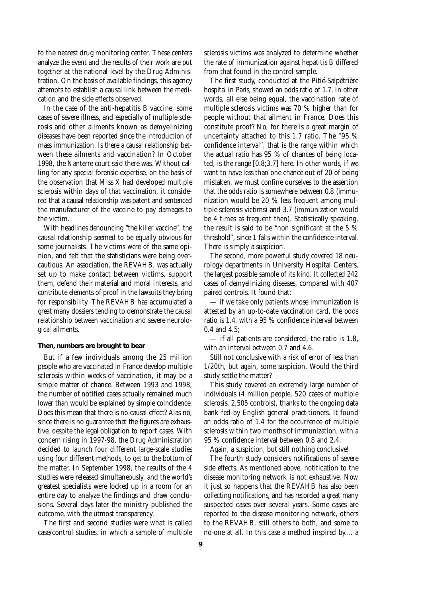to the nearest drug monitoring center. These centers analyze the event and the results of their work are put together at the national level by the Drug Administration. On the basis of available findings, this agency attempts to establish a causal link between the medication and the side effects observed.

In the case of the anti-hepatitis B vaccine, some cases of severe illness, and especially of multiple sclerosis and other ailments known as demyelinizing diseases have been reported since the introduction of mass immunization. Is there a causal relationship between these ailments and vaccination? In October 1998, the Nanterre court said there was. Without calling for any special forensic expertise, on the basis of the observation that Miss X had developed multiple sclerosis within days of that vaccination, it considered that a causal relationship was patent and sentenced the manufacturer of the vaccine to pay damages to the victim.

With headlines denouncing "the killer vaccine", the causal relationship seemed to be equally obvious for some journalists. The victims were of the same opinion, and felt that the statisticians were being overcautious. An association, the REVAHB, was actually set up to make contact between victims, support them, defend their material and moral interests, and contribute elements of proof in the lawsuits they bring for responsibility. The REVAHB has accumulated a great many dossiers tending to demonstrate the causal relationship between vaccination and severe neurological ailments.

#### *Then, numbers are brought to bear*

But if a few individuals among the 25 million people who are vaccinated in France develop multiple sclerosis within weeks of vaccination, it may be a simple matter of chance. Between 1993 and 1998, the number of notified cases actually remained much lower than would be explained by simple coincidence. Does this mean that there is no causal effect? Alas no, since there is no guarantee that the figures are exhaustive, despite the legal obligation to report cases. With concern rising in 1997-98, the Drug Administration decided to launch four different large-scale studies using four different methods, to get to the bottom of the matter. In September 1998, the results of the 4 studies were released simultaneously, and the world's greatest specialists were locked up in a room for an entire day to analyze the findings and draw conclusions. Several days later the ministry published the outcome, with the utmost transparency.

The first and second studies were what is called case/control studies, in which a sample of multiple sclerosis victims was analyzed to determine whether the rate of immunization against hepatitis B differed from that found in the control sample.

The first study, conducted at the Pitié-Salpétrière hospital in Paris, showed an odds ratio of 1.7. In other words, all else being equal, the vaccination rate of multiple sclerosis victims was 70 % higher than for people without that ailment in France. Does this constitute proof? No, for there is a great margin of uncertainty attached to this 1.7 ratio. The " $95%$ confidence interval", that is the range within which the actual ratio has 95 % of chances of being located, is the range [0.8;3.7] here. In other words, if we want to have less than one chance out of 20 of being mistaken, we must confine ourselves to the assertion that the odds ratio is somewhere between  $0.8$  (immunization would be 20 % less frequent among multiple sclerosis victims) and 3.7 (immunization would be 4 times as frequent then). Statistically speaking, the result is said to be "non significant at the 5 % thre shold", since 1 falls within the confidence interval. There is simply a suspicion.

The second, more powerful study covered 18 neurology departments in University Hospital Centers, the largest possible sample of its kind. It collected 242 cases of demyelinizing diseases, compared with 407 paired controls. It found that:

— if we take only patients whose immunization is attested by an up-to-date vaccination card, the odds ratio is 1.4, with a  $95\%$  confidence interval between 0.4 and 4.5;

— if all patients are considered, the ratio is 1.8, with an interval between 0.7 and 4.6.

Still not conclusive with a risk of error of less than 1/20th, but again, some suspicion. Would the third study settle the matter?

This study covered an extremely large number of individuals (4 million people, 520 cases of multiple sclerosis, 2,505 controls), thanks to the ongoing data bank fed by English general practitioners. It found an odds ratio of 1.4 for the occurrence of multiple sclerosis within two months of immunization, with a 95 % confidence interval between 0.8 and 2.4.

Again, a suspicion, but still nothing conclusive!

The fourth study considers notifications of severe side effects. As mentioned above, notification to the disease monitoring network is not exhaustive. Now it just so happens that the REVAHB has also been collecting notifications, and has recorded a great many suspected cases over several years. Some cases are reported to the disease monitoring network, others to the REVAHB, still others to both, and some to no-one at all. In this case a method inspired by.... a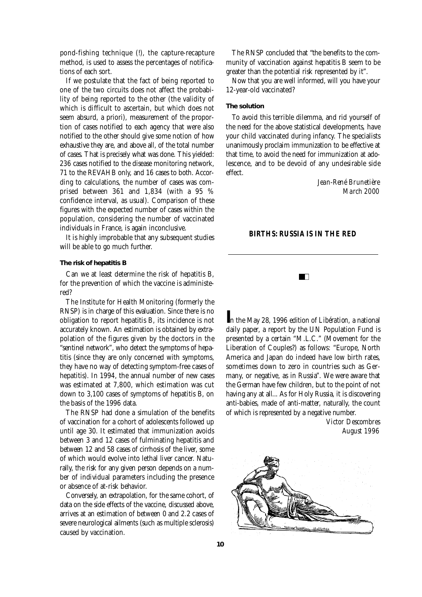pond-fishing technique (!), the capture-recapture method, is used to assess the percentages of notifications of each sort.

If we postulate that the fact of being reported to one of the two circuits does not affect the probability of being reported to the other (the validity of which is difficult to ascertain, but which does not seem absurd, a priori), measurement of the proportion of cases notified to each agency that were also notified to the other should give some notion of how exhaustive they are, and above all, of the total number of cases. That is precisely what was done. This yielded: 236 cases notified to the disease monitoring network, 71 to the REVAHB only, and 16 cases to both. According to calculations, the number of cases was comprised between 361 and 1,834 (with a 95 % confidence interval, as usual). Comparison of these figures with the expected number of cases within the population, considering the number of vaccinated individuals in France, is again inconclusive.

It is highly improbable that any subsequent studies will be able to go much further.

#### *The risk of hepatitis B*

Can we at least determine the risk of hepatitis B, for the prevention of which the vaccine is administered?

The Institute for Health Monitoring (formerly the RNSP) is in charge of this evaluation. Since there is no obligation to report hepatitis B, its incidence is not accurately known. An estimation is obtained by extrapolation of the figures given by the doctors in the "sentinel network", who detect the symptoms of hepatitis (since they are only concerned with symptoms, they have no way of detecting symptom-free cases of hepatitis). In 1994, the annual number of new cases was estimated at 7,800, which estimation was cut down to 3,100 cases of symptoms of hepatitis B, on the basis of the 1996 data.

The RNSP had done a simulation of the benefits of vaccination for a cohort of adolescents followed up until age 30. It estimated that immunization avoids between 3 and 12 cases of fulminating hepatitis and between 12 and 58 cases of cirrhosis of the liver, some of which would evolve into lethal liver cancer. Naturally, the risk for any given person depends on a number of individual parameters including the presence or absence of at-risk behavior.

Conversely, an extrapolation, for the same cohort, of data on the side effects of the vaccine, discussed above , arrives at an estimation of between 0 and 2.2 cases of severe neurological ailments (such as multiple sclerosis) caused by vaccination.

The RNSP concluded that "the benefits to the community of vaccination against hepatitis B seem to be greater than the potential risk represented by it".

Now that you are well informed, will you have your 12-year-old vaccinated?

#### *The solution*

To avoid this terrible dilemma, and rid yourself of the need for the above statistical developments, have your child vaccinated during infancy. The specialists unanimously proclaim immunization to be effective at that time, to avoid the need for immunization at adolescence, and to be devoid of any undesirable side effect

# *Je a n - René Bru n e t i è re March 2000*

#### **BIRTHS: RUSSIA IS IN THE RED**



In the May 28, 1996 edition of *Libération*, a national daily paper, a report by the UN Population Fund is presented by a certain "M.L.C." (Movement for the Liberation of Couples?) as follows: "Europe, North America and Japan do indeed have low birth rates, sometimes down to zero in countries such as Germany, or negative, as in Russia". We were aware that the German have few children, but to the point of not having any at all... As for Holy Russia, it is discovering anti-babies, made of anti-matter, naturally, the count of which is represented by a negative number.

> *Victor Descombres August 1996*

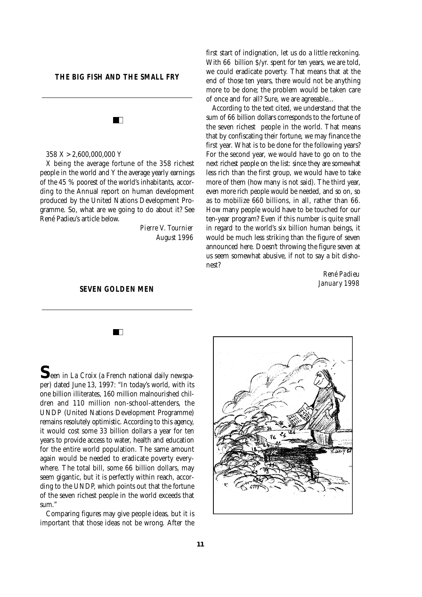#### **THE BIG FISH AND THE SMALL FRY**

 $\blacksquare$  $358 X > 2,600,000,000 Y$ 

X being the average fortune of the 358 richest people in the world and Y the average yearly earnings of the 45 % poorest of the world's inhabitants, according to the Annual report on human development produced by the United Nations Development Programme. So, what are we going to do about it? See René Padieu's article below.

> *Pierre V. Tournier August 1996*

#### **SEVEN GOLDEN MEN**

 $\blacksquare$ 

first start of indignation, let us do a little reckoning. With 66 billion \$/yr. spent for ten years, we are told, we could eradicate poverty. That means that at the end of those ten years, there would not be anything more to be done; the problem would be taken care of once and for all? Sure, we are agreeable...

According to the text cited, we understand that the sum of 66 billion dollars corresponds to the fortune of the seven richest people in the world. That means that by confiscating their fortune, we may finance the first year. What is to be done for the following years? For the second year, we would have to go on to the next richest people on the list: since they are somewhat less rich than the first group, we would have to take more of them (how many is not said). The third year, e ven more rich people would be needed, and so on, so as to mobilize 660 billions, in all, rather than 66. How many people would have to be touched for our ten-year program? Even if this number is quite small in regard to the world's six billion human beings, it would be much less striking than the figure of seven announced here. Doesn't throwing the figure seven at us seem somewhat abusive, if not to say a bit dishonest?

> $R$ ené Padieu *January* 1998

**S**een in *La Croix* (a French national daily newspaper) dated June 13, 1997: "In today's world, with its one billion illiterates, 160 million malnourished children and 110 million non-school-attenders, the UNDP (United Nations Development Programme) remains resolutely optimistic. According to this agency, it would cost some 33 billion dollars a year for ten years to provide access to water, health and education for the entire world population. The same amount again would be needed to eradicate poverty everywhere. The total bill, some 66 billion dollars, may seem gigantic, but it is perfectly within reach, according to the UNDP, which points out that the fortune of the seven richest people in the world exceeds that sum."

Comparing figures may give people ideas, but it is important that those ideas not be wrong. After the

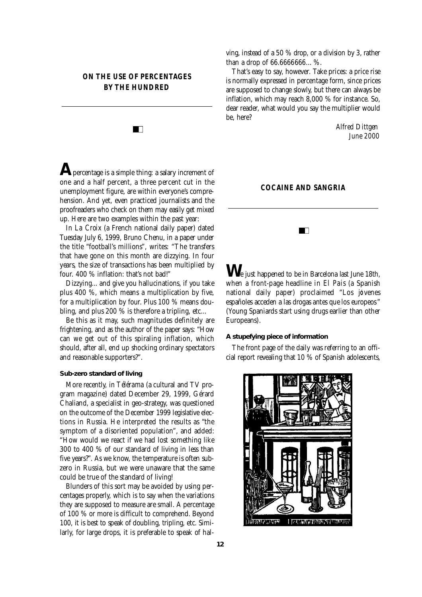# **ON THE USE OF PERCENTAGES BY THE HUNDRED**

 $\blacksquare$ 

**A** percentage is a simple thing: a salary increment of one and a half percent, a three percent cut in the unemployment figure, are within everyone's comprehension. And yet, even practiced journalists and the proofreaders who check on them may easily get mixed up. Here are two examples within the past year:

In *La Croix* (a French national daily paper) dated Tuesday July 6, 1999, Bruno Chenu, in a paper under the title "football's millions", writes: "The transfers that have gone on this month are dizzying. In four years, the size of transactions has been multiplied by four. 400 % inflation: that's not bad!"

Dizzying... and give you hallucinations, if you take plus  $400$  %, which means a multiplication by five. for a multiplication by four. Plus 100 % means doubling, and plus 200  $%$  is therefore a tripling, etc...

Be this as it may, such magnitudes definitely are frightening, and as the author of the paper says: "How can we get out of this spiraling inflation, which should, after all, end up shocking ordinary spectators and reasonable supporters?".

#### *Sub-zero standard of living*

More recently, in *Télérama* (a cultural and TV program magazine) dated December 29, 1999, Gérard Chaliand, a specialist in geo-strategy, was questioned on the outcome of the December 1999 legislative elections in Russia. He interpreted the results as "the symptom of a disoriented population", and added: " How would we react if we had lost something like 300 to 400 % of our standard of living in less than five years?". As we know, the temperature is often subzero in Russia, but we were unaware that the same could be true of the standard of living!

Blunders of this sort may be avoided by using percentages properly, which is to say when the variations they are supposed to measure are small. A percentage of 100 % or more is difficult to comprehend. Beyond 100, it is best to speak of doubling, tripling, etc. Similarly, for large drops, it is preferable to speak of halving, instead of a 50  $\%$  drop, or a division by 3, rather than a drop of 66.6666666... %.

That's easy to say, however. Take prices: a price rise is normally expressed in percentage form, since prices are supposed to change slowly, but there can always be inflation, which may reach  $8,000\%$  for instance. So, dear reader, what would you say the multiplier would be, here?

> *Alfred Dittgen June 2000*

#### **COCAINE AND SANGRIA**

 $\blacksquare$ 

We just happened to be in Barcelona last June 18th, when a front-page headline in **El Pais** (a Spanish national daily paper) proclaimed "Los jóvenes españoles acceden a las drogas antes que los europeos" (Young Spaniards start using drugs earlier than other Europeans).

#### *A stupefying piece of information*

The front page of the daily was referring to an official report revealing that  $10 \%$  of Spanish adolescents,

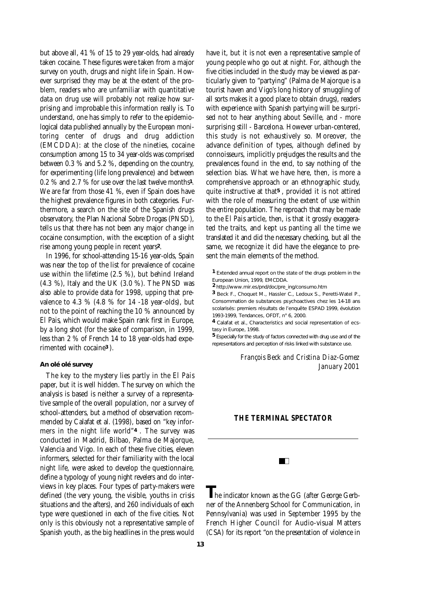but above all,  $41\%$  of  $15$  to  $29$  year-olds, had already taken cocaine. These figures were taken from a major survey on youth, drugs and night life in Spain. Howe ver surprised they may be at the extent of the problem, readers who are unfamiliar with quantitative data on drug use will probably not realize how surprising and improbable this information really is. To understand, one has simply to refer to the epidemiological data published annually by the European monitoring center of drugs and drug addiction (EMCDDA): at the close of the nineties, cocaine consumption among 15 to 34 year-olds was comprised between  $0.3 \%$  and  $5.2 \%$ , depending on the country, for experimenting (life long prevalence) and between 0.2 % and 2.7 % for use over the last twelve months<sup>1</sup>. We are far from those 41 %, even if Spain does have the highest prevalence figures in both categories. Furthermore, a search on the site of the Spanish drugs observatory, the Plan Nacional Sobre Drogas (PNSD), tells us that there has not been any major change in cocaine consumption, with the exception of a slight rise among young people in recent years<sup>2</sup>.

In 1996, for school-attending 15-16 year-olds, Spain was near the top of the list for prevalence of cocaine use within the lifetime  $(2.5 \%)$ , but behind Ireland (4.3 %), Italy and the UK (3.0 %). The PNSD was also able to provide data for 1998, upping that prevalence to 4.3 % (4.8 % for 14 -18 year-olds), but not to the point of reaching the 10 % announced by *El Pais*, which would make Spain rank first in Europe, by a long shot (for the sake of comparison, in 1999, less than 2 % of French 14 to 18 year-olds had experimented with cocaine<sup>3</sup>).

#### *An olé olé survey*

The key to the mystery lies partly in the *El Pais* paper, but it is well hidden. The survey on which the analysis is based is neither a survey of a representative sample of the overall population, nor a survey of school-attenders, but a method of observation recommended by Calafat et al. (1998), based on "key informers in the night life world"*4* . The survey was conducted in Madrid, Bilbao, Palma de Majorque, Valencia and Vigo. In each of these five cities, eleven informers, selected for their familiarity with the local night life, were asked to develop the questionnaire, define a typology of young night revelers and do interviews in key places. Four types of party-makers were defined (the very young, the visible, youths in crisis situations and the afters), and 260 individuals of each type were questioned in each of the five cities. Not only is this obviously not a representative sample of Spanish youth, as the big headlines in the press would

have it, but it is not even a representative sample of young people who go out at night. For, although the five cities included in the study may be viewed as particularly given to "partying" (Palma de Majorque is a tourist haven and Vigo's long history of smuggling of all sorts makes it a good place to obtain drugs), readers with experience with Spanish partying will be surprised not to hear anything about Seville, and - more surprising still - Barcelona. However urban-centered, this study is not exhaustively so. Moreover, the advance definition of types, although defined by connoisseurs, implicitly prejudges the results and the prevalences found in the end, to say nothing of the selection bias. What we have here, then, is more a comprehensive approach or an ethnographic study, quite instructive at that<sup>5</sup>, provided it is not attired with the role of measuring the extent of use within the entire population. The reproach that may be made to the *El Pais* article, then, is that it grossly exaggerated the traits, and kept us panting all the time we translated it and did the necessary checking, but all the same, we recognize it did have the elegance to present the main elements of the method.

*1 Extended annual report on the state of the drugs problem in the European Union, 1999, EMCDDA.*

2 http://www.mir.es/pnd/doc/pre\_ing/consumo.htm

*3 Beck F., Choquet M., Hassler C., Ledoux S., Peretti-Watel P., Consommation de substances psychoactives chez les 14-18 ans scolarisés: premiers résultats de l'enquête ESPAD 1999, évolution 1993-1999, Tendances, OFDT, n° 6, 2000.*

*4 Calafat et al., Characteristics and social representation of ecstasy in Europe, 1998.*

*5 Especially for the study of factors connected with drug use and of the representations and perception of risks linked with substance use.*

#### *François Beck and Cristina Diaz-Gomez January 2001*

#### **THE TERMINAL SPECTATOR**

 $\blacksquare$ 

**The indicator known as the GG (after George Gerb**ner of the Annenberg School for Communication, in Pennsylvania) was used in September 1995 by the French Higher Council for Audio-visual Matters (CSA) for its report "on the presentation of violence in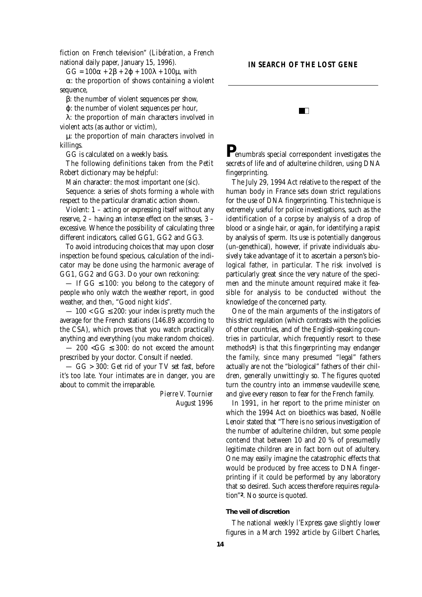fiction on French television" (*Libération*, a French national daily paper, January 15, 1996).

 $GG = 100 + 2 + 2 + 100 + 100\mu$ , with

: the proportion of shows containing a violent sequence,

: the number of violent sequences per show,

: the number of violent sequences per hour,

: the proportion of main characters involved in violent acts (as author or victim),

 $\mu$ : the proportion of main characters involved in killings.

GG is calculated on a weekly basis.

The following definitions taken from the **Petit** *Robert* dictionary may be helpful:

Main character: the most important one (sic).

Sequence: a series of shots forming a whole with respect to the particular dramatic action shown.

Violent: 1 – acting or expressing itself without any reserve,  $2$  – having an intense effect on the senses,  $3$  – excessive. Whence the possibility of calculating three different indicators, called GG1, GG2 and GG3.

To avoid introducing choices that may upon closer inspection be found specious, calculation of the indicator may be done using the harmonic average of GG1, GG2 and GG3. Do your own reckoning:

— If GG 100: you belong to the category of people who only watch the weather report, in good weather, and then, "Good night kids".

 $-100 < G$  200: your index is pretty much the average for the French stations (146.89 according to the CSA), which proves that you watch practically anything and everything (you make random choices).

 $-200 < G$  300: do not exceed the amount p rescribed by your doctor. Consult if needed.

— GG > 300: Get rid of your TV set fast, before it's too late. Your intimates are in danger, you are about to commit the irreparable.

> *Pierre V. Tournier August 1996*

# **IN SEARCH OF THE LOST GENE FEI**

*P*enumbra's special correspondent investigates the secrets of life and of adulterine children, using DNA fingerprinting.

The July 29, 1994 Act relative to the respect of the human body in France sets down strict regulations for the use of DNA fingerprinting. This technique is extremely useful for police investigations, such as the identification of a corpse by analysis of a drop of blood or a single hair, or again, for identifying a rapist by analysis of sperm. Its use is potentially dangerous (un-genethical), however, if private individuals abusively take advantage of it to ascertain a person's biological father, in particular. The risk involved is particularly great since the very nature of the specimen and the minute amount required make it feasible for analysis to be conducted without the knowledge of the concerned party.

One of the main arguments of the instigators of this strict regulation (which contrasts with the policies of other countries, and of the English-speaking countries in particular, which frequently resort to these methods<sup>*1*</sup>) is that this fingerprinting may endanger the family, since many presumed "legal" fathers actually are not the "biological" fathers of their children, generally unwittingly so. The figures quoted turn the country into an immense vaudeville scene, and give every reason to fear for the French family.

In 1991, in her report to the prime minister on which the 1994 Act on bioethics was based, Noëlle Lenoir stated that "There is no serious investigation of the number of adulterine children, but some people contend that between 10 and 20  $%$  of presumedly legitimate children are in fact born out of adultery. One may easily imagine the catastrophic effects that would be produced by free access to DNA fingerprinting if it could be performed by any laboratory that so desired. Such access therefore requires regulation"<sup>2</sup>. No source is quoted.

#### *The veil of discretion*

The national weekly *l'Express* gave slightly lower figures in a March 1992 article by Gilbert Charles,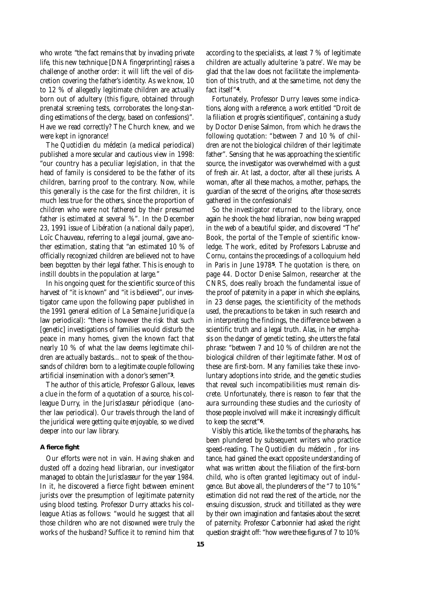who wrote: "the fact remains that by invading private life, this new technique [DNA fingerprinting] raises a challenge of another order: it will lift the veil of discretion covering the father's identity. As we know, 10 to 12 % of allegedly legitimate children are actually born out of adultery (this figure, obtained through prenatal screening tests, corroborates the long-standing estimations of the clergy, based on confessions)". Have we read correctly? The Church knew, and we were kept in ignorance!

The **Quotidien du médecin** (a medical periodical) published a more secular and cautious view in 1998: "our country has a peculiar legislation, in that the head of family is considered to be the father of its children, barring proof to the contrary. Now, while this generally is the case for the first children, it is much less true for the others, since the proportion of children who were not fathered by their presumed father is estimated at several %". In the December 23, 1991 issue of *Libération* (a national daily paper), Loïc Chauveau, referring to a legal journal, gave another estimation, stating that "an estimated 10 % of officially recognized children are believed not to have been begotten by their legal father. This is enough to instill doubts in the population at large."

In his ongoing quest for the scientific source of this harvest of "it is known" and "it is believed", our investigator came upon the following paper published in the 1991 general edition of *La Semaine Juridique* (a law periodical): "there is however the risk that such [genetic] investigations of families would disturb the peace in many homes, given the known fact that nearly 10 % of what the law deems legitimate children are actually bastards... not to speak of the thousands of children born to a legitimate couple following a rtificial insemination with a donor's semen"*3*.

The author of this article, Professor Galloux, leaves a clue in the form of a quotation of a source, his colleague Durry, in the **Jurisclasseur périodique** (another law periodical). Our travels through the land of the juridical were getting quite enjoyable, so we dived deeper into our law library.

#### *A fierce fight*

Our efforts were not in vain. Having shaken and dusted off a dozing head librarian, our investigator managed to obtain the *Jurisclasseur* for the year 1984. In it, he discovered a fierce fight between eminent jurists over the presumption of legitimate paternity using blood testing. Professor Durry attacks his colleague Atias as follows: "would he suggest that all those children who are not disowned were truly the works of the husband? Suffice it to remind him that

according to the specialists, at least  $7\%$  of legitimate children are actually adulterine 'a patre'. We may be glad that the law does not facilitate the implementation of this truth, and at the same time, not deny the fact itself"*4*.

Fortunately, Professor Durry leaves some indications, along with a reference, a work entitled "Droit de la filiation et progrès scientifiques", containing a study by Doctor Denise Salmon, from which he draws the following quotation: "between  $7$  and  $10$  % of children are not the biological children of their legitimate father". Sensing that he was approaching the scientific source, the investigator was overwhelmed with a gust of fresh air. At last, a doctor, after all these jurists. A woman, after all these machos, a mother, perhaps, the guardian of the secret of the origins, after those secrets gathered in the confessionals!

So the investigator returned to the library, once again he shook the head librarian, now being wrapped in the web of a beautiful spider, and discovered "The" Book, the portal of the Temple of scientific knowledge. The work, edited by Professors Labrusse and Cornu, contains the proceedings of a colloquium held in Paris in June 1978*5*. The quotation is there, on page 44. Doctor Denise Salmon, researcher at the CNRS, does really broach the fundamental issue of the proof of paternity in a paper in which she explains, in 23 dense pages, the scientificity of the methods used, the precautions to be taken in such research and in interpreting the findings, the difference between a scientific truth and a legal truth. Alas, in her emphasis on the danger of genetic testing, she utters the fatal phrase: "between 7 and 10 % of children are not the biological children of their legitimate father. Most of these are first-born. Many families take these involuntary adoptions into stride, and the genetic studies that reveal such incompatibilities must remain discrete. Unfortunately, there is reason to fear that the aura surrounding these studies and the curiosity of those people involved will make it increasingly difficult to keep the secret"<sup>6</sup>.

Visibly this article, like the tombs of the pharaohs, has been plundered by subsequent writers who practice speed-reading. The *Quotidien du médecin*, for instance, had gained the exact opposite understanding of what was written about the filiation of the first-born child, who is often granted legitimacy out of indulgence. But above all, the plunderers of the "7 to 10% " estimation did not read the rest of the article, nor the ensuing discussion, struck and titillated as they were by their own imagination and fantasies about the secret of paternity. Professor Carbonnier had asked the right question straight off: "how were these figures of  $7$  to  $10\%$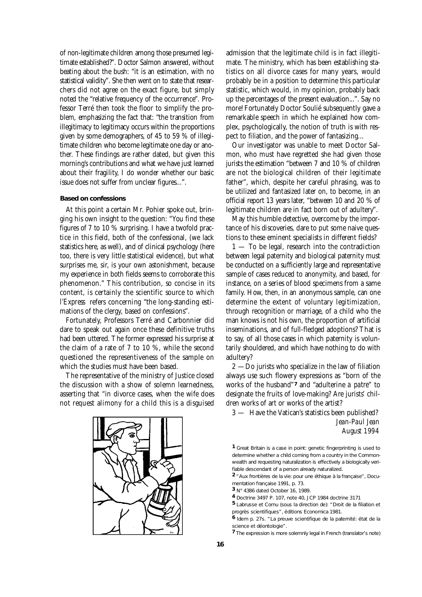of non-legitimate children among those presumed legitimate established?". Doctor Salmon answered, without beating about the bush: "it is an estimation, with no statistical validity". She then went on to state that researchers did not agree on the exact figure, but simply noted the "relative frequency of the occurrence". Professor Terré then took the floor to simplify the problem, emphasizing the fact that: "the transition from illegitimacy to legitimacy occurs within the proportions given by some demographers, of 45 to 59  $%$  of illegitimate children who become legitimate one day or another. These findings are rather dated, but given this morning's contributions and what we have just learned about their fragility, I do wonder whether our basic issue does not suffer from unclear figures...".

#### *Based on confessions*

At this point a certain Mr. Pohier spoke out, bringing his own insight to the question: "You find these figures of 7 to 10  $\%$  surprising. I have a twofold practice in this field, both of the confessional, (we lack statistics here, as well), and of clinical psychology (here too, there is very little statistical evidence), but what surprises me, sir, is your own astonishment, because my experience in both fields seems to corroborate this phenomenon." This contribution, so concise in its content, is certainly the scientific source to which *l'Express* refers concerning "the long-standing estimations of the clergy, based on confessions" .

Fortunately, Professors Terré and Carbonnier did dare to speak out again once these definitive truths had been uttered. The former expressed his surprise at the claim of a rate of 7 to 10 %, while the second questioned the representiveness of the sample on which the studies must have been based.

The representative of the ministry of Justice closed the discussion with a show of solemn learnedness, asserting that "in divorce cases, when the wife does not request alimony for a child this is a disguised



admission that the legitimate child is in fact illegitimate. The ministry, which has been establishing statistics on all divorce cases for many years, would probably be in a position to determine this particular statistic, which would, in my opinion, probably back up the percentages of the present evaluation...". Say no more! Fortunately Doctor Soulié subsequently gave a remarkable speech in which he explained how complex, psychologically, the notion of truth is with respect to filiation, and the power of fantasizing...

Our investigator was unable to meet Doctor Salmon, who must have regretted she had given those jurists the estimation "between  $7$  and  $10\%$  of children are not the biological children of their legitimate father", which, despite her careful phrasing, was to be utilized and fantasized later on, to become, in an official report 13 years later, "between 10 and 20  $\%$  of legitimate children are in fact born out of adultery".

May this humble detective, overcome by the importance of his discoveries, dare to put some naive questions to these eminent specialists in different fields?

 $1 -$  To be legal, research into the contradiction between legal paternity and biological paternity must be conducted on a sufficiently large and representative sample of cases reduced to anonymity, and based, for instance, on a series of blood specimens from a same family. How, then, in an anonymous sample, can one determine the extent of voluntary legitimization, through recognition or marriage, of a child who the man knows is not his own, the proportion of artificial inseminations, and of full-fledged adoptions? That is to say, of all those cases in which paternity is voluntarily shouldered, and which have nothing to do with adultery?

2 —Do jurists who specialize in the law of filiation always use such flowery expressions as "born of the works of the husband"<sup>7</sup> and "adulterine *a patre*" to designate the fruits of love-making? Are jurists' children works of art or works of the artist?

3 — Have the Vatican's statistics been published?

### *<i>Jean-Paul Jean August 1994*

*1 Great Britain is a case in point: genetic fingerprinting is used to determine whether a child coming from a country in the Commonwealth and requesting naturalization is effectively a biologically verifiable descendant of a person already naturalized.*

*2 "Aux frontières de la vie: pour une éthique à la française", Documentation française 1991, p. 73.*

- *3 N° 4386 dated October 16, 1989.*
- *4 Doctrine 3497 P. 107, note 40, JCP 1984 doctrine 3171*
- *5 Labrusse et Cornu (sous la direction de): "Droit de la filiation et progrès scientifiques", éditions Economica 1981.*
- *6 Idem p. 27s. "La preuve scientifique de la paternité: état de la science et déontologie".*
- *7 The expression is more solemnly legal in French (translator's note)*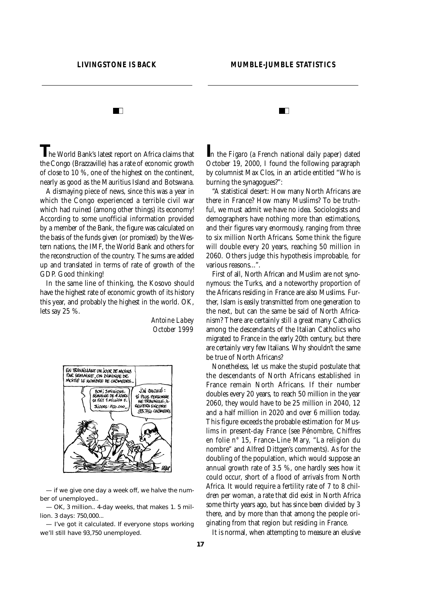**TTT** 

FEI

**The World Bank's latest report on Africa claims that** the Congo (Brazzaville) has a rate of economic growth of close to 10 %, one of the highest on the continent, nearly as good as the Mauritius Island and Botswana.

A dismaying piece of news, since this was a year in which the Congo experienced a terrible civil war which had ruined (among other things) its economy! According to some unofficial information provided by a member of the Bank, the figure was calculated on the basis of the funds given (or promised) by the Western nations, the IMF, the World Bank and others for the reconstruction of the country. The sums are added up and translated in terms of rate of growth of the GDP. Good thinking!

In the same line of thinking, the Kosovo should have the highest rate of economic growth of its history this year, and probably the highest in the world. OK, lets say 25 %.

> *Antoine Labey October 1999*



— if we give one day a week off, we halve the number of unemployed..

— OK, 3 million.. 4-day weeks, that makes 1. 5 million. 3 days: 750,000...

— I've got it calculated. If everyone stops working we'll still have 93,750 unemployed.

In the *Figaro* (a French national daily paper) dated October 19, 2000, I found the following paragraph by columnist Max Clos, in an article entitled "Who is burning the synagogues?":

"A statistical desert: How many North Africans are there in France? How many Muslims? To be truthful, we must admit we have no idea. Sociologists and demographers have nothing more than estimations, and their figures vary enormously, ranging from three to six million North Africans. Some think the figure will double every 20 years, reaching 50 million in 2060. Others judge this hypothesis improbable, for various reasons...".

First of all, North African and Muslim are not synonymous: the Turks, and a noteworthy proportion of the Africans residing in France are also Muslims. Further, Islam is easily transmitted from one generation to the next, but can the same be said of North Africanism? There are certainly still a great many Catholics among the descendants of the Italian Catholics who migrated to France in the early 20th century, but there are certainly very few Italians. Why shouldn't the same be true of North Africans?

Nonetheless, let us make the stupid postulate that the descendants of North Africans established in France remain North Africans. If their number doubles every 20 years, to reach 50 million in the year 2060, they would have to be 25 million in 2040, 12 and a half million in 2020 and over 6 million today. This figure exceeds the probable estimation for Muslims in present-day France (see Pénombre, Chiffres en folie n° 15, France-Line Mary, "La religion du nombre" and Alfred Dittgen's comments). As for the doubling of the population, which would suppose an annual growth rate of 3.5 %, one hardly sees how it could occur, short of a flood of arrivals from North Africa. It would require a fertility rate of 7 to 8 children per woman, a rate that did exist in North Africa some thirty years ago, but has since been divided by 3 there, and by more than that among the people originating from that region but residing in France.

It is normal, when attempting to measure an elusive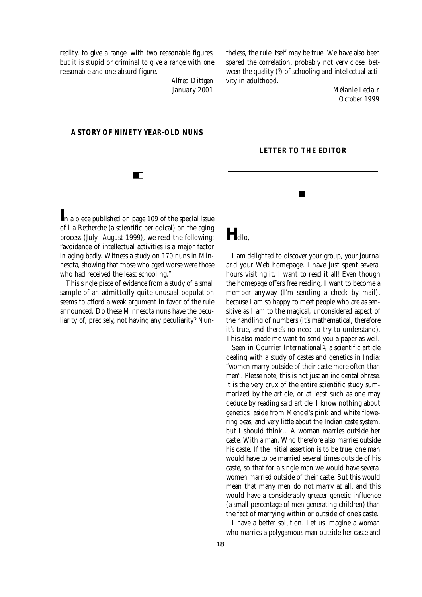reality, to give a range, with two reasonable figures, but it is stupid or criminal to give a range with one reasonable and one absurd figure.

> *Alfred Dittgen January 2001*

theless, the rule itself may be true. We have also been spared the correlation, probably not very close, between the quality (?) of schooling and intellectual activity in adulthood.

**LETTER TO THE EDITOR** 

 $\blacksquare$ 

*Mélanie Leclair October 1999*

#### **A STORY OF NINETY YEAR-OLD NUNS**

 $\blacksquare$ 

*I*n a piece published on page 109 of the special issue of *La Recherche* (a scientific periodical) on the aging process (July- August 1999), we read the following: "a voidance of intellectual activities is a major factor in aging badly. Witness a study on 170 nuns in Minnesota, showing that those who aged worse were those who had received the least schooling."

This single piece of evidence from a study of a small sample of an admittedly quite unusual population seems to afford a weak argument in favor of the rule announced. Do these Minnesota nuns have the peculiarity of, precisely, not having any peculiarity? Nun-

# $H_{\text{ello}}$

I am delighted to discover your group, your journal and your Web homepage. I have just spent several hours visiting it, I want to read it all! Even though the homepage offers free reading, I want to become a member anyway (I'm sending a check by mail), because I am so happy to meet people who are as sensitive as I am to the magical, unconsidered aspect of the handling of numbers (it's mathematical, therefore it's true, and there's no need to try to understand). This also made me want to send you a paper as well.

Seen in *Courrier International<sup>1</sup>*, a scientific article dealing with a study of castes and genetics in India: "women marry outside of their caste more often than men". Please note, this is not just an incidental phrase, it is the very crux of the entire scientific study summarized by the article, or at least such as one may deduce by reading said article. I know nothing about genetics, aside from Mendel's pink and white flowering peas, and very little about the Indian caste system, but I should think... A woman marries outside her caste. With a man. Who therefore also marries outside. his caste. If the initial assertion is to be true, one man would have to be married several times outside of his caste, so that for a single man we would have several women married outside of their caste. But this would mean that many men do not marry at all, and this would have a considerably greater genetic influence (a small percentage of men generating children) than the fact of marrying within or outside of one's caste.

I have a better solution. Let us imagine a woman who marries a polygamous man outside her caste and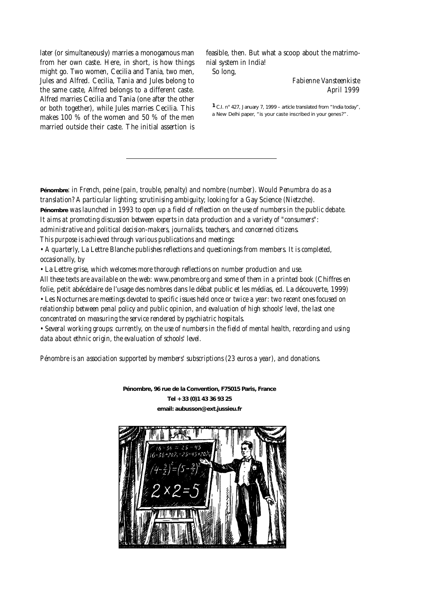later (or simultaneously) marries a monogamous man from her own caste. Here, in short, is how things might go. Two women, Cecilia and Tania, two men, Jules and Alfred. Cecilia, Tania and Jules belong to the same caste, Alfred belongs to a different caste. Alfred marries Cecilia and Tania (one after the other or both together), while Jules marries Cecilia. This makes 100 % of the women and 50 % of the men married outside their caste. The initial assertion is

feasible, then. But what a scoop about the matrimonial system in India!

So long,

# **Fabienne Vansteenkiste** *April 1999*

*1 C.I. n° 427, January 7, 1999 – article translated from "India today", a New Delhi paper, "is your caste inscribed in your genes?".*

**Pénombre***: in French,* **peine** *(pain, trouble, penalty) and* **nombre** *(number). Would Penumbra do as a translation? A particular lighting; scrutinising ambiguity; looking for a* **Gay Science** *(Nietzche).* **Pénombre** *was launched in 1993 to open up a field of reflection on the use of numbers in the public debate. It aims at promoting discussion between experts in data production and a variety of "consumers": administrative and political decision-makers, journalists, teachers, and concerned citizens. This purpose is achieved through various publications and meetings:* 

*• A quarterly,* **La Lettre Blanche** *publishes reflections and questionings from members. It is completed, occasionally, by*

*•* **La Lettre grise***, which welcomes more thorough reflections on number production and use.*

*All these texts are available on the web: www.penombre.org and some of them in a printed book (***Chiffres en folie, petit abécédaire de l'usage des nombres dans le débat public et les médias, ed. La découverte, 1999***) •* **Les Nocturnes** *are meetings devoted to specific issues held once or twice a year: two recent ones focused on relationship between penal policy and public opinion, and evaluation of high schools' level, the last one concentrated on measuring the service rendered by psychiatric hospitals.*

*• Several working groups: currently, on the use of numbers in the field of mental health, recording and using data about ethnic origin, the evaluation of schools' level.*

*Pénombre is an association supported by members' subscriptions (23 euros a year), and donations.*

**Pénombre, 96 rue de la Convention, F75015 Paris, France Tel + 33 (0)1 43 36 93 25 email: aubusson@ext.jussieu.fr**